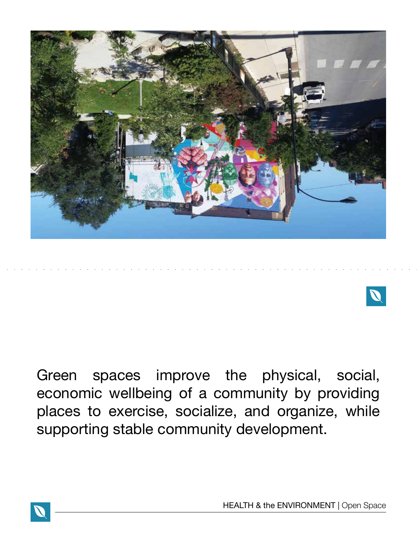



Green spaces improve the physical, social, economic wellbeing of a community by providing places to exercise, socialize, and organize, while supporting stable community development.

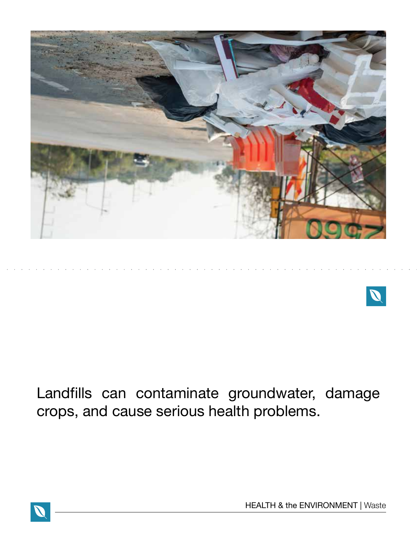



## Landfills can contaminate groundwater, damage crops, and cause serious health problems.



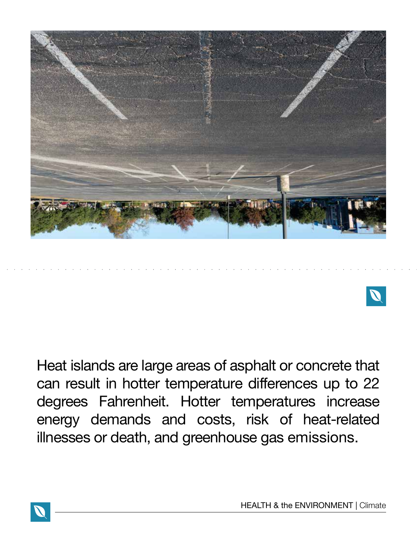



Heat islands are large areas of asphalt or concrete that can result in hotter temperature differences up to 22 degrees Fahrenheit. Hotter temperatures increase energy demands and costs, risk of heat-related illnesses or death, and greenhouse gas emissions.

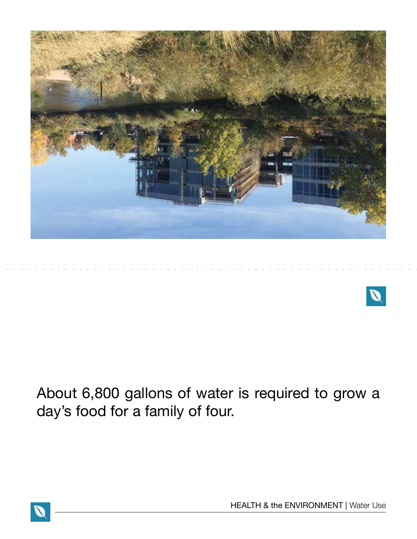



## About 6,800 gallons of water is required to grow a day's food for a family of four.

HEALTH & the ENVIRONMENT | Water Use

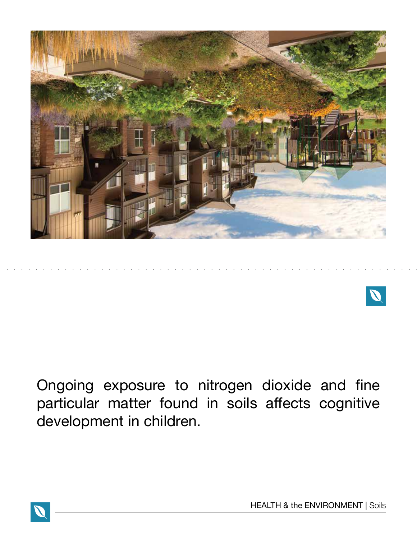



Ongoing exposure to nitrogen dioxide and fine particular matter found in soils affects cognitive development in children.

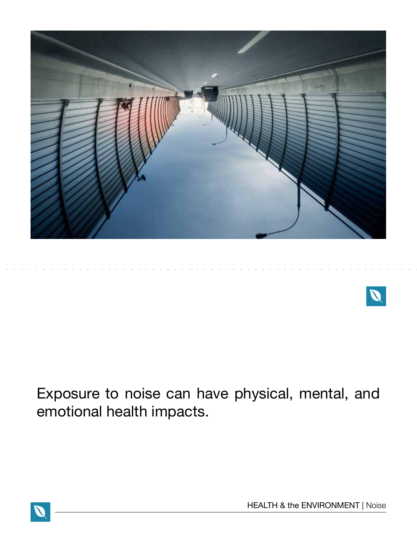



Exposure to noise can have physical, mental, and emotional health impacts.

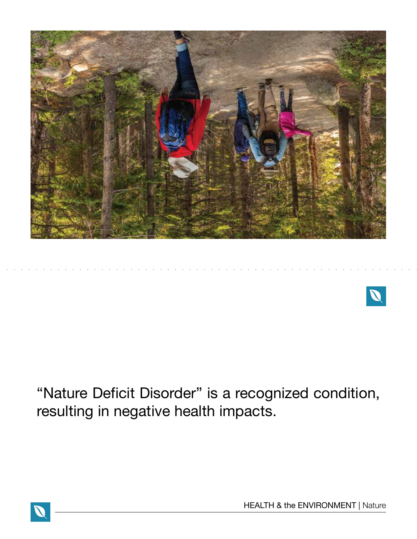



"Nature Deficit Disorder" is a recognized condition, resulting in negative health impacts.

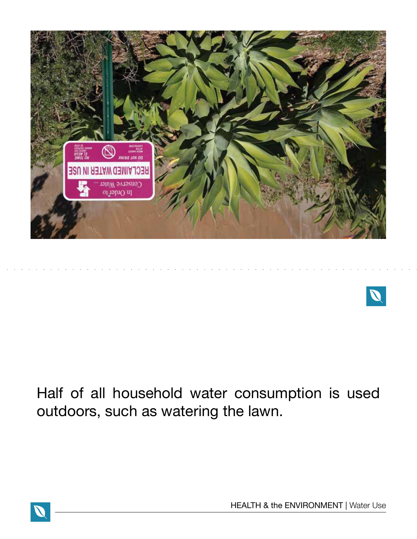



## Half of all household water consumption is used outdoors, such as watering the lawn.



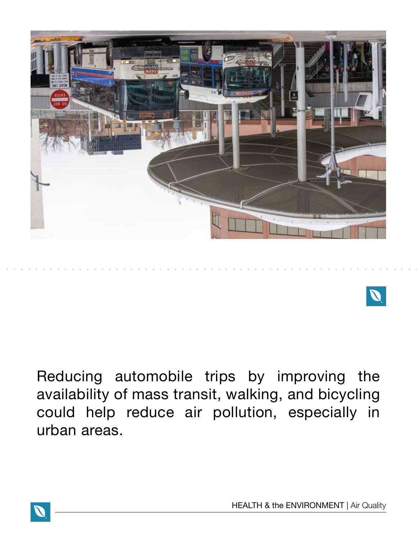

Reducing automobile trips by improving the availability of mass transit, walking, and bicycling could help reduce air pollution, especially in urban areas.

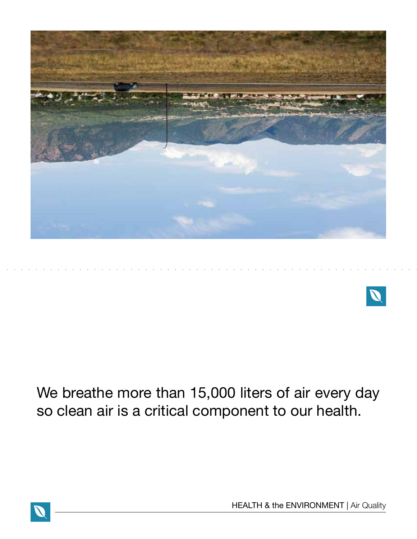



We breathe more than 15,000 liters of air every day so clean air is a critical component to our health.

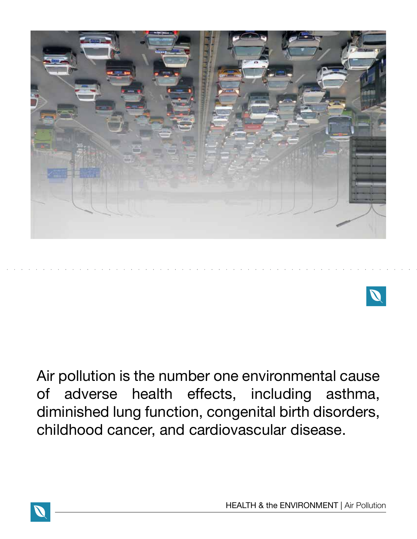



Air pollution is the number one environmental cause of adverse health effects, including asthma, diminished lung function, congenital birth disorders, childhood cancer, and cardiovascular disease.



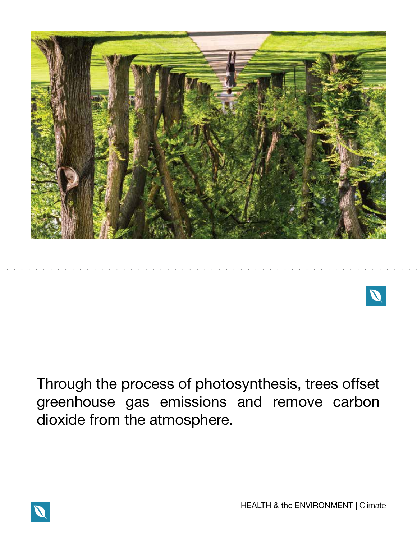



Through the process of photosynthesis, trees offset greenhouse gas emissions and remove carbon dioxide from the atmosphere.